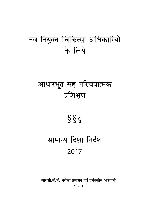# नव नियुक्त चिकित्सा अधिकारियों के लिये

# आधारभूत सह परिचयात्मक प्रशिक्षण

# $\S \S$

# सामान्य दिशा निर्देश 2017

आर.सी.वी.पी. नरोन्हा प्रशासन एवं प्रबंधकीय अकादमी भोपाल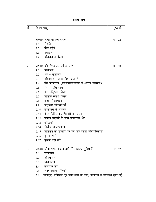# विषय सूची

| क्रं. | विषय वस्तु |                                                                 | पृष्ठ क्रं. |
|-------|------------|-----------------------------------------------------------------|-------------|
|       |            |                                                                 |             |
| 1.    | 1.1        | अध्याय-एकः सामान्य परिचय<br>स्थिति                              | $01 - 02$   |
|       |            | 1.2 कैसे पहुँचे                                                 |             |
|       |            | 1.3 प्रशासन                                                     |             |
|       |            | 1.4 प्रशिक्षण कार्यक्रम                                         |             |
| 2.    |            | अध्याय-दोः शिष्टाचार एवं आचरण                                   | $03 - 10$   |
|       | 2.1        | प्रस्तावना                                                      |             |
|       |            | 2.2 भेंट - मुलाकात                                              |             |
|       |            | 2.3 परिचय इस प्रकार दिया जाता है                                |             |
|       | 2.4        | मेस शिष्टाचार (विश्रांतिका/लाउंज में आचार व्यवहार)              |             |
|       | 2.5        | मेस में रात्रि भोज                                              |             |
|       |            | 2.6 नाम पट्टिका (बैज)                                           |             |
|       | 2.7        | पोशाक संबंधी नियम                                               |             |
|       | 2.8        | कक्षा में आचरण                                                  |             |
|       | 2.9        | पाठ्येत्तर गतिविधियाँ                                           |             |
|       | 2.10       | छात्रावास में आचरण                                              |             |
|       | 2.11       | श्रेष्ठ चिकित्सा अधिकारी का चयन                                 |             |
|       | 2.12       | संकाय सदस्यों के साथ शिष्टाचार भेंट                             |             |
|       | 2.13       | छुट्टियाँ                                                       |             |
|       | 2.14       | वित्तीय आवश्यकता                                                |             |
|       | 2.15       | प्रशिक्षण को समाप्ति पर को जाने वाली औपचारिकतायें               |             |
|       | 2.16       | कृपया करें                                                      |             |
|       |            | 2.17 कृपया नहीं करें                                            |             |
| 3.    |            | अध्याय-तीनः प्रशासन अकादमी में उपलब्ध सुविधाएँ                  | $11 - 12$   |
|       | 3.1        | छात्रावास                                                       |             |
|       | 3.2        | औषधालय                                                          |             |
|       | 3.3        | वाचनालय                                                         |             |
|       |            | 3.4 कम्प्यूटर लैब                                               |             |
|       |            | 3.5 व्यायामशाला (जिम)                                           |             |
|       | 3.6        | खेलकूद, मनोरंजन एवं योगाभ्यास के लिए अकादमी में उपलब्ध सुविधाएँ |             |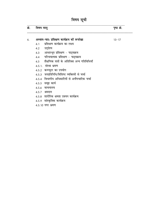# विषय सूची

| क्रं. | विषय वस्तु                                 |                                                     | पृष्ठ क्रं. |  |
|-------|--------------------------------------------|-----------------------------------------------------|-------------|--|
| 4.    | अध्याय-चारः प्रशिक्षण कार्यक्रम को रूपरेखा |                                                     | $13 - 17$   |  |
|       |                                            | 4.1 प्रशिक्षण कार्यक्रम का लक्ष्य                   |             |  |
|       |                                            | 4.2 उद्देश्य                                        |             |  |
|       |                                            | 4.3 आधारभूत प्रशिक्षण - पाठ्यक्रम                   |             |  |
|       |                                            | 4.4 परिचयात्मक प्रशिक्षण - पाठ्यक्रम                |             |  |
|       |                                            | 4.5     शैक्षणिक सत्रों के अतिरिक्त अन्य गतिविधियाँ |             |  |
|       |                                            | 4.5.1. संस्था भ्रमण                                 |             |  |
|       |                                            | 4.5.2 कम्प्यूटर का उपयोग                            |             |  |
|       |                                            | 4.5.3 जनप्रतिनिधि/विशिष्ट व्यक्तियों से चर्चा       |             |  |
|       |                                            | 4.5.4 विभागीय अधिकारियों से अनौपचारिक चर्चा         |             |  |
|       |                                            | 4.5.5 समूह कार्य                                    |             |  |
|       |                                            | 4.5.6 वाचनालय                                       |             |  |
|       |                                            | 4.5.7 श्रमदान                                       |             |  |
|       |                                            | 4.5.8  शारीरिक क्षमता उन्नयन कार्यक्रम              |             |  |
|       |                                            | 4.5.9 सांस्कृतिक कार्यक्रम                          |             |  |
|       |                                            | 4.5.10 नगर भ्रमण                                    |             |  |
|       |                                            |                                                     |             |  |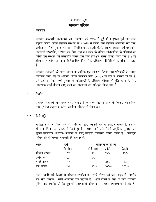# अध्याय-एक सामान्य परिचय

#### $1.$ प्रस्तावना:

प्रशासन अकादमी, मध्यप्रदेश की स्थापना वर्ष 1966 में हुई थी। इसका पूर्व नाम लाल बहादुर शास्त्री, लोक प्रशासन संस्थान था । 1975 में इसका नाम प्रशासन अकादमी रखा गया। अभी हाल में ही पुनः इसका नाम परिवर्तित कर आर.सी.वी.पी. नरोन्हा प्रशासन एवं प्रबंधकीय अकादमी मध्यप्रदेश, भोपाल कर दिया गया है। राज्य के वरिष्ठ अधिकारियों के प्रशिक्षण हेत् निर्मित इस संस्थान को मध्यप्रदेश शासन द्वारा शीर्ष प्रशिक्षण संस्था घोषित किया गया है। यह संस्थान मध्यप्रदेश शासन के विभिन्न विभागों के लिए प्रशिक्षण गतिविधियों का संचालन करता है ।

प्रशासन अकादमी को भारत शासन के कार्मिक एवं प्रशिक्षण विभाग द्वारा प्रशिक्षकों के उन्नयन कार्यक्रम चरण प्प्यू के अन्तर्गत क्षेत्रीय प्रशिक्षण केन्द्र (RTC) के रूप में मान्यता दी गई है, एवं उड़ीसा, बिहार एवं गुजरात के प्रशिक्षकों के प्रशिक्षण कौशल में वृद्धि करने के लिए आवश्यक कार्य योजना लागू करने हेतू अकादमी को अधिकृत किया गया है।

#### $1.1$ स्थिति:

प्रशासन अकादमी का भवन अरेरा पहाड़ियों के मध्य शाहपुरा झील के किनारे हितकारिणी नगर (1100 क्वॉटर्स). अरेरा कालोनी. भोपाल में स्थित है।

### कैसे पहुँचे:  $1.2$

भोपाल शहर के दक्षिण पूर्व में अवस्थित 1100 क्वाटर्स क्षेत्र में प्रशासन अकादमी, शाहपुरा झील के किनारे 43 एकड़ में फैली हुई है। इसके चारों ओर फैली प्राकृतिक सुन्दरता एवं सुरम्य वातावरण अध्ययन-अध्यापन के लिए उपयुक्त वातावरण निर्मित करती है। अकादमी पहुँचने संबंधी विस्तृत जानकारी निम्नानुसार हैं:-

| स्थान        | दूरी     | यातायात के साधन |         |         |
|--------------|----------|-----------------|---------|---------|
|              | (कि.मी.) | सीटी बस         | ऑटो     | टैक्सी  |
| भोपाल स्टेशन | 12       | $10/-$          | $150/-$ | $250/-$ |
| हबीबगंज      | 03       | $04/-$          |         |         |
| हवाई अड्डा   | 17       |                 | $200/-$ | $300/-$ |
| बस स्टैण्ड   | 14       | $10/-$          | $100/-$ | $200/-$ |

नोटः- दर्शाये गये किराये में परिवर्तन संभावित है। रेल्वे स्टेशन एवं बस अड्डे से नगरीय बस सेवा क्रमांक 1 सीधे अकादमी तक पहुँचती है। आटो टैक्सी से आने के लिये यातायात पुलिस द्वारा स्थापित प्री पेड बूथ की सहायता से उचित दर पर वाहन उपलब्ध कराये जाते है।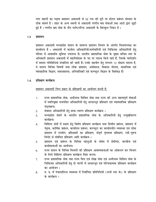नगर वाहनों का पड़ाव प्रशासन अकादमी से 50 गज की दूरी पर होटल प्रबंधन संस्थान के ठीक सामने है। शहर के अन्य स्थानों से अकादमी नगरीय बस सेवाओं तथा आटो द्वारा जुड़ी हुई है। नगरीय बस सेवा के तीन स्टॉप/स्टैण्ड अकादमी के बिल्कुल निकट है।

#### प्रशासन:  $1.3$

प्रशासन अकादमी मध्यप्रदेश शासन के सामान्य प्रशासन विभाग के अंतर्गत विभागाध्यक्ष का कार्यालय है । अकादमी में कार्यरत अधिकारियों/कर्मचारियों एवं चिकित्सा अधिकारियों हेत् परिसर में आवासीय सुविधा उपलब्ध है। भारतीय प्रशासनिक सेवा के मुख्य सचिव स्तर के अधिकारी प्रशासन अकादमी में महानिदेशक के पद पर पदस्थ किये जाते हैं. जिनके मार्गदर्शन में समस्त गतिविधियां संचालित की जाती है। उनके सहयोग हेतु लगभग 12 संकाय सदस्य है, ये सदस्य विभिन्न विषयों यथा लोक प्रशासन, अर्थशास्त्र, विकास योजना, सामाजिक एवं व्यावहारिक विज्ञान, समाजशास्त्र, अभियांत्रिकी एवं कम्प्यूटर विज्ञान के विशेषज्ञ हैं।

### प्रशिक्षण कार्यक्रम:  $1.4.$

प्रशासन अकादमी निम्न प्रकार के प्रशिक्षणों का आयोजन करती है:

- राज्य प्रशासनिक सेवा, अधीनस्थ सिविल सेवा तथा राज्य की अन्य महत्वपूर्ण सेवाओं  $1.$ में नवनियुक्त राजपत्रित अधिकारियों हेतु आधारभूत प्रशिक्षण एवं व्यावसायिक प्रशिक्षण पाठ्यक्रम।
- सेवारत अधिकारियों हेतू प्रत्या-स्मरण प्रशिक्षण कार्यक्रम।  $2.$
- मध्यप्रदेश संवर्ग के भारतीय प्रशासनिक सेवा के अधिकारियों हेत् उन्मुखीकरण  $\overline{3}$ . कार्यक्रम।
- विशिष्ट क्षेत्रों में दक्षता हेतु विशेष प्रशिक्षण कार्यक्रम यथा वित्तीय प्रबंधन, प्रशासन में  $4.$ नेतृत्व, कार्मिक प्रबंधन, कार्यालय प्रबंधन, कम्प्यूटर का कार्यालयीन व्यवस्था एवं लोक प्रशासन में उपयोग, प्रशिक्षकों का प्रशिक्षण, संपूर्ण गुणवत्ता प्रशिक्षण, स्त्री-पुरूष विभेद से संबंधित प्रशिक्षण आदि कार्यक्रम।
- प्रशासन एवं प्रबंधन के विभिन्न पहलुओं के संबंध में सेमीनार, कान्फ्रेंस एवं 5. कार्यशालाओं का आयोजन।
- राज्य शासन के विभिन्न विभागों की प्रशिक्षण आवश्यकताओं का आंकलन कर विभाग 6. के लिये विशिष्ट प्रशिक्षण कार्यक्रम तैयार करना।
- राज्य प्रशासनिक सेवा तथा राज्य वित्त एवं लेखा सेवा एवं अधीनस्थ सिविल सेवा के 7. चिकित्सा अधिकारियों हेतु दो चरणों में आधारभूत एवं परिचयात्मक प्रशिक्षण कार्यक्रम का आयोजन ।
- म. प्र. में पंचायतीराज व्यवस्था में निर्वाचित प्रतिनिधियों (सभी स्तर के) के प्रशिक्षण 8. के कार्यकम ।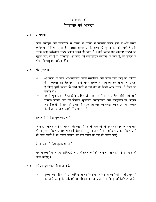# अध्याय-दो शिष्टाचार एवं आचरण

#### $2.1$ प्रस्तावनाः

अच्छे व्यवहार और शिष्टाचार से किसी भी व्यक्ति में विश्वास उत्पन्न होता है और उसके व्यक्तित्व में निखार आता है। इससे अक्सर उसके अहम की चुभन कम हो जाती है और उसके लिए व्यक्तिगत संबंध बनाना सहज हो जाता है। यहाँ प्रकृति एवं व्यवहार संबंधी जो सुझाव दिए गए हैं वे चिकित्सा अधिकारी की व्यावहारिक सहायता के लिए हैं, जो सम्पूर्ण न होकर दिशासूचक अधिक हैं।

### भेंट मुलाकातः  $2.2$

- अधिकारी के लिए भेंट-मुलाकात करना सामाजिक और पदीय दोनों तरह का दायित्व  $\sigma$ है। मुलाकात आमतौर पर संध्या के समय अकेले या सामूहिक रूप से की जा सकती है किन्तु दुसरे व्यक्ति के साथ पहले से तय कर के किसी अन्य समय भी मिला जा सकता है।
- पहली मलाकात संक्षिप्त होनी चाहिए और वह 30 मिनट से अधिक लंबी नहीं होनी  $\sigma$ चाहिए। लेकिन बाद की मैत्रीपूर्ण मुलाकातें आवश्यकता और उपयुक्तता के अनुसार चाहे जितनी भी लंबी हो सकती है परन्तु इस बात का हमेशा ध्यान रहे कि मेजबान के भोजन व अन्य कार्यों में बाधा न पड़े।

# अकादमी में कैसे सुव्यवहार करें:

चिकित्सा अधिकारियों से अपेक्षा की जाती है कि वे अकादमी में उपस्थित होने के तुरंत बाद ही पाठ्यक्रम निदेशक, सह-पाठ्य निदेशकों से मुलाकात करें। वे महानिदेशक तथा निदेशक से भी मिल सकते हैं पर उनकी सविधा का पता लगाने के बाद ही मिलने जाएँ।

बैठक कक्ष में कैसे सुव्यवहार करें:

जब महिलाएँ या वरिष्ठ अधिकारी कक्ष में प्रवेश करें तो चिकित्सा अधिकारियों को खड़े हो जाना चाहिए ।

### परिचय इस प्रकार दिया जाता है:  $2.3$

पुरूषों का महिलाओं से, कनिष्ठ अधिकारियों का वरिष्ठ अधिकारियों से और युवाओं  $\sigma$ का बड़ी आयु के व्यक्तियों से परिचय कराया जाता है। किन्तु अतिविशिष्ट व्यक्ति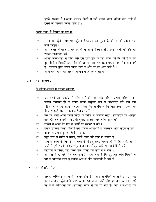इसके अपवाद हैं । उनका परिचय किसी से नहीं कराया जाता, बल्कि सदा उन्हीं से दूसरों का परिचय कराया जाता है।

किसी दावत में मेहमान के रूप में:

- समय पर पहुँचें, समय पर पहुँचना शिष्टाचार का सूचक है और इसकी आदत डाल लेनी चाहिए।
- अगर दावत में बहुत से मेहमान हों तो अपने मेज़बान और उनकी पत्नी को ढूँढ़ कर  $\mathcal{P}$ उनका अभिवादन करें।
- अपनी काफी/चाय में चीनी और दूध डाल लेने के बाद प्याले को बैरे की ट्रे में रखे  $\mathcal{P}$ हुए चीनी न मिलाएँ, इससे बैरे को आपके पास खड़े रहना पड़ेगा, यह ठीक बात नहीं है। इसलिए तुरंत अपना प्याला उठा लें और बैरे को आगे जाने दे।
- अपने पेय पदार्थ को जोर से आवाज करते हुए न सड़कें ।  $\sigma$

### मेस शिष्टाचार:  $2.4$

### विश्रांतिका/लाउंज में आचार व्यवहार:

- जब कभी आप लाउंज में प्रवेश करें और वहां कोई महिला अथवा वरिष्ठ स्टाफ सदस्य उपस्थित हो तो कृपया उनका समुचित रूप से अभिवादन करें। जब कोई महिला या वरिष्ठ स्टाफ सदस्य अथवा मेस अतिथि लाउंज विश्रांतिका में प्रवेश करें तो आप खडे होकर उनका अभिवादन करें।
- मेस के भीतर अपने चलने फिरने के तरीके में आपको बहुत औपचारिक या असहज  $\mathcal{C}$ होने की जरूरत नहीं। फिर भी फुहड़ या लापरवाह तरीके से न रहें।
- लाउंज में अपने पैर मेज़ या कुर्सी पर रखकर न बैठें।  $\mathcal{P}$
- स्टाफ सदस्यों उनकी पत्नियों तथा वरिष्ठ अतिथियों से नमस्कार आदि करना न भूलें।
- अलग से अपना गुट या टोली न बनाएं।  $\mathcal{P}$
- बहुत जोर से संगीत न बजाएं, इससे दूसरों को कष्ट हो सकता है।  $\mathcal{P}$
- सामान्य रूचि के विषयों पर चर्चा के दौरान् अगर विवाद की स्थिति आये, तो भी  $\sigma$ चर्चा में पूर्ण शालीनता एवं संतुलन बनाये रखें एवं व्यक्तिगत आक्षेपों से बचें।
- बातचीत के दौरान, बात करने वाले व्यक्ति को बीच में न टोकें।  $\mathcal{P}$
- अन्य लोगों के बारे में गपशप न करें। कहा जाता है कि सूसंस्कृत लोग विचारों के  $\sigma$ बारे में बातचीत करते हैं जबकि असभ्य लोग व्यक्तियों के बारे में।

## 2.5 मेस में रात्रि भोज:

प्रत्येक चिकित्सा अधिकारी मेज़बान होता है। आप अतिथियों के आने से 10 मिनट  $\sigma$ पहले अवश्य पहुँचे ताकि आप उनका स्वागत कर सकें और इस बात का ध्यान रखें कि सभी अतिथियों की आवभगत ठीक से की जा रही है। आप इधर-उधर घूम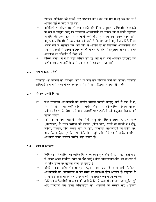फिरकर अतिथियों की अच्छी तरह देखभाल करें। तब तक मेस में रहें जब तक सभी अतिथि वहाँ से विदा न हो जाएँ।

- अतिथियों या संकाय सदस्यों तथा उनकी पत्नियों के अनुरक्षक अधिकारी (एस्कोर्ट)  $\mathcal{C}$ के रूप में नियुक्त किए गए चिकित्सा अधिकारियों को चाहिए कि वे अपने अनुरक्षित अतिथि की प्रवेश द्वार पर अगवानी करें और पूरे समय तक उनके साथ रहें । अनरक्षक अधिकारी से यह अपेक्षा की जाती है कि वह अपने अनरक्षित अतिथियों को भोजन लेने में सहायता करें और यदि वे अतिथि हों तो चिकित्सा अधिकारियों तथा संकाय सदस्यों से उनका परिचय कराएँ। भोजन के अंत में अनरक्षक अधिकारी अपने अनुरक्षित को सौहार्दता से विदा करें।
- वरिष्ठ अतिथि से न तो बहुत अधिक लगे रहें और न ही उन्हें अचानक छोड़कर चले  $\mathcal{C}$ जाएँ। जब आप जाएँ तो उनसे एक तरह से इजाजत लेकर जाएँ।

### नाम पट्टिका (बैज):  $2.6$

चिकित्सा अधिकारियों को प्रशिक्षण अवधि के लिए नाम पटि्टका जारी की जायेगी। चिकित्सा अधिकारी अकादमी भवन में एवं छात्रावास मैस में नाम पटिटका लगाकर ही आएँगे।

### पोशाक संबंधी नियम:  $2.7$

- सभी चिकित्सा अधिकारियों को शालीन पोशाक पहननी चाहिए, चाहे वे कक्ष में हों,  $\sigma$ मेस में हों अथवा कहीं और । विशेष् मौकों पर औपचारिक पोशाक पहनना चाहिए,प्रशिक्षण के दौरान एवं अन्य अवसरों पर भडकीली एवं केजअल पोशाक नही पहनना चाहएि।
- यही सामान्य नियम मेस के संबंध में भी लागू होंगे, सिवाय इसके कि सबेरे नाश्ते  $\mathcal{C}$ (ब्रेकफास्ट) के समय व्यायाम की पोशाक (पीटी किट) पहनी जा सकती है। दौड़. जॉगिंग, व्यायाम, पीटी अथवा योग के लिए, चिकित्सा अधिकारियों को सफेद शर्ट, हाफ पैंट या ट्रैक सूट के साथ पीटी/स्पोर्टस जूते और मोज़े पहनने चाहिए । महिला अधिकारी सफेद सलवार कमीज़ पहन सकती है।

### कक्षा में आचरण:  $2.8$

- चिकित्सा अधिकारियों को चाहिए कि वे व्याख्यान शुरू होने से 10 मिनट पहले कक्षा  $\sigma$ में आकर अपने निर्धारित स्थान पर बैठ जाएँ। धीमी दौड/व्यायाम/योग की कक्षाओं में भी ठीक समय पर पहुँचना उतना ही ज़रूरी है।
- प्रतिदिन कक्षा प्रारंभ होने से पूर्व राष्ट्रगान गाया जाता है, इसमें सभी चिकित्सा  $\mathcal{C}$ अधिकारियों को अनिवार्यरुप से एवं समय पर उपस्थित होना अनवार्य है। राष्ट्रगान के समय खड़े रहना चाहिए एवं राष्ट्रगान की मर्यादाका पालन करना चाहिए।
- चिकित्सा अधिकारियों से आशा की जाती है कि वे कक्षा में व्याख्यान ध्यानपूर्वक सूने  $\mathcal{P}$ और व्याख्याता तथा साथी अधिकारियों की भावनाओं का सम्मान करें । संकाय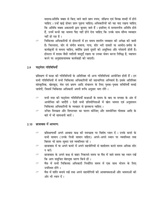सदस्य/अतिथि वक्ता से किए जाने वाले प्रश्न स्पष्ट, संक्षिप्त एवं विनम्र शब्दों में होने चाहिए । उन्हें खड़े होकर प्रश्न पूछना चाहिए। अधिकारियों को यह याद रखना चाहिए कि अतिथि वक्ता अकादमी द्वारा बुलाए जाते हैं। इसलिए वे सम्माननीय अतिथि होते हैं, उनमें कभी यह भावना पैदा नहीं होने देना चाहिए कि उनके साथ सौम्य व्यवहार नहीं हो रहा है।

चिकित्सा अधिकारियों से होस्टलों में हर समय शालीन व्यवहार की अपेक्षा की जाती  $\sigma$ है। चिल्लाना, जोर से संगीत बजाना, गाना, शोर भरी दावतों या आमोद-प्रमोद के कार्यक्रमों से बचना चाहिए, क्योंकि इससे दूसरों को असुविधा और परेशानी होती है। होस्टल में शराब जैसी नशीली वस्तुएँ रखना या उनका सेवन करना निषिद्ध है, मद्यपान करने पर अनुशासनात्मक कार्यवाही की जाएगी।

### पाठ्येत्तर गतिविधियाँ  $2.9$

प्रशिक्षण में कक्षा की गतिविधियों के अतिरिक्त भी अन्य गतिविधियां आयोजित होती हैं। इन सभी गतिविधियों में सभी चिकित्सा अधिकारियों की सहभागिता अनिवार्य है। इसके अतिरिक्त सांस्कृतिक, खेलकृद, मेस एवं भ्रमण आदि संचालन के लिए पृथक-पृथक समितियाँ बनाई जायेगीं, जिसमें चिकित्सा अधिकारी अपनी रूचि अनुसार भाग लेंगे।

- सभी तरह की पाठ्येत्तर गतिविधियाँ कक्षाओं के समय के बाद या सप्ताह के अंत में  $\sigma$ आयोजित की जाएँगी । ऐसी सभी प्रतियोगिताओं में खेल भावना एवं अनुशासन चिकित्सा अधिकारियों के व्यवहार से झलकना चाहिए।
- उचित विनम्रता और शिष्टाचार का पालन कीजिए और समयोचित पोशाक आदि के  $\circ$ बारे में भी सावधानी बरतें।

### 2.10 छात्रावास में आचरण:

- प्रशिक्षणार्थी अपने आवास कक्ष की स्वच्छता पर विशेष ध्यान दें । उनके कमरे के ← सभी सामान (उनके निजी सामान सहित) अपने-अपने स्थान पर व्यवस्थित तथा बिस्तर भी साफ-सुथरा एवं व्यवस्थित रहे।
- छात्रावास में या अपने कमरे में अपने सहयोगियों से वार्तालाप करते समय अधिक शोर  $\sigma$ न करें।
- छात्रावास के अपने कक्ष से बाहर निकलते समय या मैस में जाते समय यह ध्यान रखें  $\mathcal{P}$ कि आप समुचित वेशभूषा धारण किये हों।
- मैस में सभी चिकित्सा अधिकारी निर्धारित समय में एक साथ भोजन के लिए  $\mathcal{P}$ उपस्थित होंगे ।
- मैस में शांति बनाये रखें तथा अपने सहयोगियों की आवश्यकताओं और भावनाओं की  $\mathcal{P}$ ओर भी ध्यान दें।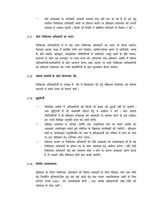यदि छात्रावास के कर्मचारी आपकी समस्या हल नहीं कर पा रहे हैं तो इस हेत्  $\sigma$ चयनित चिकित्सा अधिकारी साथी या हॉस्टल वार्डन या प्रशिक्षण संचालक को अपनी समस्या से अवगत करायें । किसी भी स्थिति में संबंधित कर्मचारी से विवाद न करें ।

# 2.11 श्रेष्ठ चिकित्सा अधिकारी का चयन:

चिकित्सा अधिकारियों में से एक श्रेष्ठ चिकित्सा अधिकारी का चयन भी किया जायेगा। जिसका आधार कक्षा में प्रदर्शित रूचि एवं व्यवहार, ग्रामीण/संस्था भ्रमण में भागीदारी, समय के प्रति पाबंदी, खेलकृद, सांस्कृतिक गतिविधियों में भागीदारी, समूह कार्य के प्रति लगाव, ग्रंथालय में पढ़ने एवं कम्प्यूटर पर काम करने की अभिरूचि तथा प्रशिक्षण अवधि में वरिष्ठ अधिकारियों/कर्मचारियों के प्रति आचरण होगा। उक्त आधार पर सभी चिकित्सा अधिकारियों का प्रशिक्षण संचालक एवं उनके सहयोगियों के द्वारा मूल्यांकन किया जायेगा।

# 2.12 संकाय सदस्यों के साथ शिष्टाचार भेंट:

चिकित्सा अधिकारियों से अपेक्षा है कि वे शिष्टाचार भेंट हेतु प्रशिक्षण संचालक एवं संकाय सदस्यों से समय लेकर ही मिलने जायें।

# 2.13 छूट्टियाँ:

- परिवीक्षा अवधि में अधिकारियों को किसी भी प्रकार की छुट्टी नहीं दी जायेगी ।  $\sigma$ अतः छुट्टियों में भी अकादमी छोड़ने हेतु वे आवेदन न करें । मात्र आपात परिस्थितियों में ही प्रशिक्षण संचालक को अवकाश पर प्रस्थान करने के पूर्व आवेदन कर उनसे लिखित अनुमति प्राप्त की जानी होगी।
- स्वीकृत अवकाश से अधिक अवधि तक अनुपस्थित रहने पर संपूर्ण अवधि का  $\sigma$ अवकाश अनाधिकृत मानते हुये संबंधित के खिलाफ कार्यवाही की जायेगी । प्रशिक्षण सत्रों से अनाधिकृत अनुपस्थिति की दशा में प्रशिक्षणार्थी को भविष्य में स्वयं के व्यय पर पुनः प्रशिक्षण हेतु उपस्थित होना पड़ेगा ।
- $\mathcal{P}$ स्वास्थ्य आधार पर चिकित्सा अधिकारी को यदि अवकाश की आवश्यकता हो तो वह चिकित्सा अधिकारी के प्रमाण पत्र के साथ अवकाश हेतु आवेदन करेगा। यदि कोई चिकित्सा अधिकारी बार-बार स्वास्थ्य ठीक न होने के कारण अवकाश ग्रहण करता है तो उसकी जाँच मेडिकल बोर्ड द्वारा कराई जावेगी।

# 2.14 वित्तीय आवश्यकता:

प्रशिक्षण के दौरान चिकित्सा अधिकारी को विशेष अवसारों के लिये पोशाक, योग तथा पीटी हेतु निर्धारित यूनिफार्म/ट्रैक सूट एवं जूते आदि हेतु तथा अनरू आकस्मिकता आदि के लिए लगभग रूपये 5000/- की आवश्यकता होगी । अतः प्रत्येक प्रशिक्षणार्थी उक्त राशि की व्यवस्था के साथ आयें।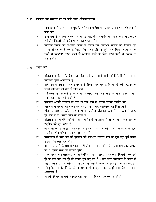# 2.15 प्रशिक्षण की समाप्ति पर की जाने वाली औपचारिकतायें:

- वाचनालय से प्राप्त समस्त पुस्तकें, पत्रिकायें वापिस कर अदेय प्रमाण पत्र ग्रंथालय से  $\mathcal{P}$ प्राप्त करें ।
- छात्रावास के समस्त शुल्क एवं समस्त शासकीय अवशेष की राशि जमा कर वार्डन  $\sigma$ एवं लेखाधिकारी से अदेय प्रमाण पत्र प्राप्त करें।
- उपरोक्त प्रमाण पत्र स्थापना शाखा में प्रस्तुत कर कार्यभार छोड़ने का दिनांक एवं  $\mathcal{C}$ समय अंकित करते हुए कार्यभार सौंपे । यह प्रक्रिया पूर्ण किये बिना पदस्थापना के जिले में कार्यभार ग्रहण करने से आगामी माहों के वेतन प्राप्त करने में विलंब हो सकता है।

# 2.16 कृपया करें :

- $\sigma$ प्रशिक्षण कार्यक्रम के दौरान आयोजित की जाने वाली सभी गतिविधियों में समय पर उपस्थित होना आवश्यक है।
- प्रति दिन प्रयािक्षण से पूर्व राष्ट्रगान के लिये समय पूर्व उपस्थित रहे एवं राष्ट्रगान के  $\mathcal{P}$ समय सावधान की मुद्रा में खड़े रहे।
- चिकित्सा अधिकारियों से अकादमी परिसर, कक्षा, छात्रावास में साफ सफाई बनाये  $\mathcal{P}$ रखने की अपेक्षा की जाती है।
- कूड़ादान आपके उपयोग के लिए ही रखा गया है, कृपया इसका उपयोग करें।  $\mathcal{P}$
- बातचीत में मर्यादा का पालन एवं अनुशासन आपके व्यक्तित्व को निखारता है।  $\sigma$
- उचित अवसर पर उचित पोषाक पहने. चाहें वें प्रशिक्षण कक्ष में हो. कक्ष से बाहर  $\sigma$ हो. मेस में हो अथवा खेल के मैदान में ।
- प्रशिक्षण की गतिविधियों में सक्रिय भागीदारी. प्रशिक्षण में आपके सम्मिलित होने के  $\sigma$ उदुदेश्य को पूरा करता है।
- अकादमी के वाचनालय, मनोरंजन के साधनों, खेल की सुविधाओं एवं अकादमी द्वारा  $\mathcal{P}$ संचालित योग प्रशिक्षण का भरपूर लाभ लें।
- वाचनालय से प्राप्त की गई पुस्तकों को प्रशिक्षण समाप्त होने के एक दिन पूर्व वापस  $\mathcal{P}$ करना सुनिश्चित कर लें।
- अगर अकादमी के मेस में भोजन नहीं लेना हो तो इसकी पूर्व सूचना मेस व्यवस्थापक  $\sigma$ को दें, इससे सभी को सुविधा होगी।
- मुख्य भवन तथा छात्रावास के सार्वजनिक क्षेत्र में अगर अनावश्यक बिजली जल रही  $\mathcal{C}$ हो या नल चल रहा हो तो कृपया इसे बंद कर दें। जब आप छात्रावास के कमरे से बाहर निकले तो यह सुनिश्चित कर ले कि आपके कमरे की बिजली एवं नल बंद है।
- सांस्कृतिक कार्यक्रमों के दौरान् सभ्रांत श्रोता एवं संयत प्रस्तुतिकर्ता जैसा व्यवहार  $\mathcal{P}$ आवश्यक है।
- आपसी विवाद से बचें. आवश्यकता होने पर प्रशिक्षण संचालक से मिलें।  $\sigma$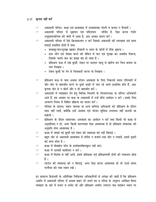# 2.17 कृपया नहीं करें

- $\mathcal{P}$ अकादमी परिसर, कक्षा एवं छात्रावास में अनावश्यक गंदगी व कचरा न फैलायें ।
- अकादमी परिसर में धूम्रपान एवं मदिरापान वर्जित है, ऐसा करना गंभीर  $\sigma$ अनशासनहीनता की श्रेणी में आता है, अतः इसका पालन करें।
- अकादमी परिसर में ऐसे क्रियाकलाप न करें जिससे अकादमी की स्वच्छता एवं साफ  $\sigma$ सफाई प्रभावित होती है यथा:
	- तम्बाकू/पान/गुटखा खाकर दीवालों व भवन के कोनों में पीक थूकना ।
	- हाथ धोने एवं पेशाब करने की बेसिन में पान एवं गुटखा का अवशेष फेंकना, जिसके चलते जल का प्रवाह बंद हो जाता है।
	- प्रशिक्षण कक्ष में रखे कुर्सी, टेबल पर धारदार वस्तु से खरोंच कर चित्र बनाना या नाम लिखना ।
	- टेबल कुर्सी पर पेन से चित्रकारी करना या लिखना।
- प्रशिक्षण कक्ष से चाय अथवा भोजन अवकाश के लिए निकलते समय गलियारों में  $\mathcal{P}$ जोर-जोर से बातचीत करने से दूसरे कक्षों में चल रहे कार्य प्रभावित होते हैं, अतः कृपया जोर से न बोलें और न ही बातचीत करें।
- अकादमी में व्याख्यान देने हेतु विभिन्न विभागों के विभागाध्यक्ष या वरिष्ठ अधिकारी  $\mathcal{P}$ आते हैं, इस अवसर पर कक्ष या अकादमी में उन्हें सीधे आवेदन न करें। इसके लिए आचरण नियम में विहित प्रक्रिया का पालन करें।
- परिवार के सदस्य, वाहन चालक या अन्य कनिष्ठ अधिकारी को प्रशिक्षण के दौरान  $\sigma$ साथ नहीं लावें. क्योंकि इन्हें आवास एवं भोजन सविधा उपलब्ध नहीं करायी जा सकेगी ।
- प्रशिक्षण के दौरान सामान्यतः अवकाश का आवेदन न करें तथा किसी भी कक्षा से  $\mathcal{C}$ अनुपस्थित न हो, अगर किसी कारणवश ऐसा आवश्यक है तो प्रशिक्षण संचालक की अनुमति लेना आवश्यक है।
- कक्षा में जमाई गई कुर्सी एवं टेबल की व्यवस्था को नहीं बिगाड़े।  $\mathcal{P}$
- बहुत जोर से अकादमी छात्रावास में संगीत न बजाये तथा शोर न मचायें, इससे दूसरों  $\mathcal{P}$ को कष्ट होता है।
- कक्षा में मोबाईल फोन के इस्तेमालबिलकुल नही करे।  $\sigma$
- कक्षा में आपसी वार्तालाप न करें।  $\sigma$
- कक्षा में विलंब से नहीं आयें. इससे प्रशिक्षक एवं प्रशिक्षणार्थी दोनों को व्यवधान होता  $\sigma$ है ।
- लाउंज की व्यवस्था को न बिगाड़े, अगर ऐसा करना आवश्यक हो तो उठते समय  $\sigma$ फर्नीचर को यथा स्थान रखें।

इन सामान्य हिदायतों के अतिरिक्त चिकित्सा अधिकारियों से अपेक्षा की जाती है कि प्रशिक्षण अवधि में अकादमी परिसर में अथवा बाहर भी अपने पद व गरिमा के अनुरूप अपेक्षित शिष्ट व्यवहार के बारे में सजग व सचेत रहें और प्रशिक्षण अवधि उपरान्त जब पदांकन स्थान पर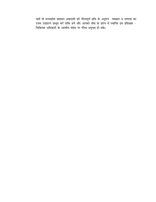जावें तो मध्यप्रदेश प्रशासन अकादमी की गौरवपूर्ण छवि के अनुरूप व्यवहार व तत्परता का उत्तम उदाहरण प्रस्तुत करें ताकि हमें और आपको सेवा के प्रारंभ में स्थापित इस प्रशिक्षक -चिकित्सा अधिकारी के आत्मीय संबंध पर गौरव अनुभव हो सके।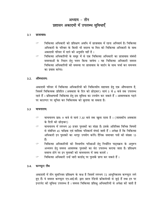# अध्याय - तीन प्रशासन अकादमी में उपलब्ध सुविधाएँ

#### $3.1$ छात्रावासः

- चिकित्सा अधिकारी को प्रशिक्षण अवधि में छात्रावास में रहना अनिवार्य है। चिकित्सा  $\sigma$ अधिकारी के परिवार के किसी भी सदस्य या मित्र को चिकित्सा अधिकारी के साथ अकादमी परिसर में रहने की अनुमति नहीं है।
- चिकित्सा अधिकारियों के समुह में से एक चिकित्सा अधिकारी का छात्रावास संबंधी  $\sigma$ समस्याओं के निदान हेतु चयन किया जायेगा । यह चिकित्सा अधिकारी समस्त चिकित्सा अधिकारियों की समस्या पर छात्रावास के वार्डन के साथ चर्चा कर समन्वय का प्रयास करेगा।

#### $3.2.$ औषधालय:

अकादमी परिसर में चिकित्सा अधिकारियों की चिकित्सीय सहायता हेतु एक औषधालय है. जिसमें चिकित्सक प्रतिदिन (अवकाश के दिन को छोडकर) सायं 5 से 6 बजे तक उपलब्ध रहते हैं। प्रशिक्षणार्थी चिकित्सा हेतु इस सुविधा का उपयोग कर सकते हैं। आवश्यकता पड़ने पर काउण्टर पर सूचित कर चिकित्सक को बलाया जा सकता है।

#### $3.3$ वाचनालय:

- वाचनालय प्रातः 9 बजे से सायं 7.30 बजे तक खुला रहता है। (शासकीय अवकाश  $\mathcal{P}$ के दिनों को छोड़कर)
- वाचनालय में लगभग 30 हजार पुस्तकों का संग्रह है। इसके अतिरिक्त विभिन्न विषयों  $\mathcal{P}$ से संबंधित 45 पाक्षिक एवं मासिक पत्रिकायें मंगाई जाती हैं। अपेक्षा है कि चिकित्सा अधिकारी इन पुस्तकों का भरपूर उपयोग करेंगे। दैनिक समाचार पत्रों की संख्या 15 हैं।
- चिकित्सा अधिकारियों को विभागीय परीक्षाओं हेतु निर्धारित पाठ्यक्रम के अनुरूप  $\sigma$ अध्ययन हेतु समस्त आवश्यक पुस्तकों का सेट उपलब्ध कराया जाता है। प्रशिक्षण समाप्त होने पर इन पुस्तकों को वाचनालय में जमा करावें।
- चिकित्सा अधिकारी उन्हें जारी कार्डस पर पुस्तकें प्राप्त कर सकते हैं।  $\mathcal{P}$

### कम्प्यूटर लैब  $3.4.$

अकादमी में तीन सुसज्जित प्रशिक्षण के कक्ष है जिसमें लगभग 72 आधुनिकतम कम्प्यूटर लगे हुए हैं। ये समस्त कम्प्यूटर एन.आई.सी. द्वारा प्रदत्त रेडियो फ्रीकवेन्सी से जुड़े हैं तथा इन पर इन्टरनेट की सुविधा उपलब्ध है। समस्त चिकित्सा प्रशिक्षु अधिकारियों से अपेक्षा की जाती है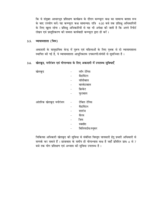कि वे संयुक्त आधारभूत प्रशिक्षण कार्यक्रम के दौरान कम्प्यूटर कक्ष का सामान्य क्लास रूम के बाद उपयोग करें। यह कम्प्यूटर कक्ष सामान्यतः रात्रि 9.00 बजे तक प्रशिक्षु अधिकारियों के लिए खुला रहेगा। प्रशिक्षु अधिकारियों से यह भी अपेक्षा की जाती है कि अपने रिपोर्ट लेखन एवं प्रस्तुतिकरण की समस्त कार्यवाही कम्प्यूटर द्वारा ही करें।

#### व्यायामशाला (जिम)  $3.5.$

अकादमी के सामुदायिक केन्द्र में पुरूष एवं महिलाओं के लिए पृथक से दो व्यायामशाला स्थापित की गई है, ये व्यायामशाला आधुनिकतम उपकरणों/संयंत्रों से सुसज्जित है।

### खेलकूद, मनोरंजन एवं योगाभ्यास के लिए अकादमी में उपलब्ध सुविधाएँ  $3.6.$

| खेलकूद                | लॉन टेनिस   |
|-----------------------|-------------|
|                       | बैडमिंटन    |
|                       | वॉलीबाल     |
|                       | बास्केटबाल  |
|                       | क्रिकेट     |
|                       | फुटबाल      |
|                       |             |
| आंतरिक खेलकूद मनोरंजन | टेबिल टेनिस |
|                       | बैडमिंटन    |
|                       |             |
|                       | शतरंज       |
|                       | कैरम        |
|                       | जिम         |
|                       | स्क्वॉश     |

चिकित्सा अधिकारी खेलकूद की सुविधा से संबंधित विस्तृत जानकारी हेतु प्रभारी अधिकारी से सम्पर्क कर सकते हैं। छात्रावास के समीप ही योगाभ्यास कक्ष है जहाँ प्रतिदिन प्रातः 6 से 7 बजे तक योग प्रशिक्षण एवं अभ्यास की सुविधा उपलब्ध है।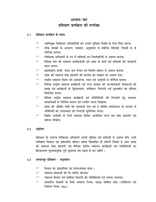# अध्याय-चार प्रशिक्षण कार्यक्रम की रूपरेखा

### प्रशिक्षण कार्यक्रम के लक्ष्य:  $4.1$

- नवनियुक्त चिकित्सा अधिकारियों को उनकी भूमिका निर्वाह के लिए तैयार करना।  $\sigma$
- लोक सेवकों के आचरण, व्यवहार, अनुशासन से संबंधित विधियों, नियमों के से  $\sigma$ परिचित कराना।
- चिकित्सा अधिकारी के रुप में दायित्वों एवं जिम्मेदारियों से अवगत कराना।  $\sigma$
- विभिन्न स्तर की स्वास्थ्य कार्यकर्ताओं एवं आषा के कार्य एवं दायित्वों की जानकारी  $\mathcal{P}$ प्रदान करना।
- प्रशासकीय कार्यो. भंडार क्रय नियम एवं वित्तीय प्रबंधन से अवगत कराना।  $\mathcal{P}$
- प्रदेश की स्वास्थ्य सेवा प्रदायगी की संरचना को समझने का अवसर देना।  $\mathcal{P}$
- राष्ट्रीय स्वास्थ्य मिशन की अवधारणा, लक्ष्य एवं उददेष्यों से परिचित कराना।  $\mathcal{P}$
- विभिन्न राष्ट्रीय स्वास्थ्य कार्यक्रमों एवं राज्य सरकार की कल्याणकारी योजनाओं की  $\mathcal{P}$ समझ एवं कार्यक्रमों के क्रियान्वयन, पर्यवेक्षण, निगरानी एवं मूल्याकंन का कौशल विकसित करना।
- विभिन्न राष्ट्रीय स्वास्थ्य कार्यक्रमों एवं गतिविधियों की निगरानी हेतु उपल्बध  $\mathcal{C}$ साफ्टवेअर्स से परिचित कराना एवं उपयोग करना सिखाना।
- प्रदेश की औषधि निती की जानकारी देना एवं ई-औषधि साफ्टवेअर के माध्यम से  $\sigma$ औषधियों की उपलब्धता एवं निगरानी सनिष्चित करना।
- विशेष उददेष्यों के लिये स्वास्थ्य शिविर आयोजित करने एवं सेवा प्रदायगी एवं  $\mathcal{P}$ प्रबंधन सीखना।

### उदुदेश्य:  $4.2$

प्रशिक्षण के उपरान्त चिकित्सा अधिकारी अपनी भूमिका एवं दायित्वों से अवगत होंगे, उनमें व्यक्तित्व विकास एवं प्रबंधकीय कौशल क्षमता विकासित हो सकेगी जिससे वे आम जनता को स्वास्थ्य सेवा प्रदायगी एवं विभिन्न राष्टीय स्वास्थ्य कार्यक्रमों एवं गतिविधियों का क्रियान्वयन सुगमतापूर्वक पूर्ण कुषलता एवं दक्षता से कर सकेंगे।

### आधारभूत प्रशिक्षण - पाठ्यक्रम  $4.3$

- विभाग का प्रशासनिक एवं संगठनात्मक ढांचा।  $\mathcal{P}$
- स्वास्थ्य संस्थाओं की त्रि-स्तरीय संरचना।  $\mathcal{P}$
- स्वास्थ्य विभाग एवं संबंधित विभागों की गतिविधियां एवं परस्पर समन्वय।  $\mathcal{P}$
- शासकीय सेवाकों के लिये आचरण नियम. म0प्र0 सिविल सेवा (वर्गीकरण एवं  $\mathcal{P}$ नियंत्रण नियम 1966)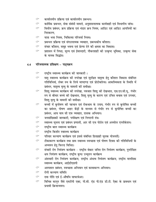- $\mathcal{P}$ कार्यालयीन प्रक्रिया एवं कार्यालयीन प्रबन्धन।
- कार्मिक प्रबन्धन, सेवा संबंधी मामले, अनुशासनात्मक कार्यवाही एवं विभागीय जांच।  $\mathcal{P}$
- वित्तीय प्रबंधन, क्रय प्रक्रिया एवं भंडार क्रय नियम, आडिट एवं आडिट आपत्तियों का G निराकरण.
- यात्रा भत्ता नियम, चिकित्सा परिचर्या नियम।  $\sigma$
- G प्रबन्धन प्रक्रिया एवं संगठनात्मक व्यवहार, प्रबन्धकीय कौशल।
- संचार कौशल, समूह भवना एवं प्रेरणा देने की क्षमता का विकास।  $\mathcal{P}$
- प्रशासन में निष्ठा, मूल्य एवं ईमानदारी, नौकरशाही की उत्कृष्ट भूमिका, उत्कृष्ट सेवा Q, के मानक सिद्धांत।

### परिचयात्मक प्रशिक्षण - पाठ्यक्रम  $4.4$

- राष्ट्रीय स्वास्थ्य कार्यक्रम की जानकारी ।  $\mathrel{\frown}$
- मातृ स्वास्थ्य कार्यक्रम की रुपरेखा एवं सुरक्षित मातृत्व हेतु कौशल विकास संबंधित  $\mathcal{P}$ गतिविधियां, लेबर रुम के लिये मापदण्ड एवं प्रोटोकॉल्स। आकस्मिकता के स्थिति में प्रबंधन, मातृत्व मृत्यु के मामलों की समीक्षा।
- शिशु स्वास्थ्य कार्यक्रम की रुपरेखा, नवजात शिशु की देखभाल, एस.एन.सी.यू., गंभीर  $\sigma$ रुप से बीमार बच्चे की देखभाल, शिशु मृत्यु के कारण एवं उचित बचाव एवं उपचार, शिशु मृत्यु के मामलों की समीक्षा।
- बच्चों में कुपोषण की पहचान एवं रोकथाम के उपाय, गंभीर रुप से कुपोषित बच्चों G का प्रबंधन, पोषण आहर केंद्रों के माध्यम से गंभीर रुप से कुपोषित बच्चों का प्रबंधन, आय वाय सी एफ व्यवहार, दस्तक अभियान।
- जनसांख्यिकी जानकारी. पर्यवेक्षण एवं निगरानी तंत्र।  $\mathcal{P}$
- स्वास्थ्य सूचना एवं प्रबंधन प्रणाली, आर सी एच पोर्टल एवं अनमोल एप्लीकेशन। G
- राष्ट्रीय बाल स्वास्थ्य कार्यक्रम G
- राष्ट्रीय किशोर स्वास्थ्य कार्यक्रम  $\mathcal{C}$
- परिवार कल्याण कार्यक्रम एवं इससे संबंधित हितग्राही मूलक योजनाऐं। G
- $\mathcal{P}$ टीकाकरण कार्यक्रम तथा ग्राम स्वास्थ्य स्वच्छता एवं पोषण दिवस की गतिविधियों के अध्ययन हेतु फिल्ड विजिट।
- संचारी रोग नियंत्रण कार्यक्रम राष्ट्रीय वेक्टर जनित रोग नियंत्रण कार्यक्रम, पुनरीक्षित  $\mathcal{P}$ क्षय नियंत्रण कार्यक्रम, राष्ट्रीय कुष्ठ उन्मूलन कार्यक्रम
- अंसचारी रोग नियंत्रण कार्यक्रम, राष्ट्रीय अंधत्व नियंत्रण कार्यक्रम, राष्ट्रीय मानसिक  $\mathrel{\frown}$ स्वास्थ्य कार्यक्रम, आईडीएसपी
- अस्पताल प्रबंधन, स्वच्छता अभियान एवं कायाकल्प अभियान।  $\mathcal{C}$
- $\mathcal{P}$ रोगी कल्याण समिति
- दवा नीति एवं ई-औषधि साफ्टवेअर।  $\mathcal{P}$
- विभिन्न कानून जैसे एमटीपी एक्ट, पी.सी. एंड पी.एंड डी.टी. ऐक्ट के प्रावधान एवं  $\mathcal{P}$ प्रभावी क्रियान्वयन।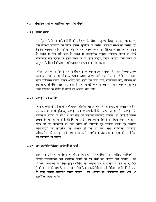# 4.5 शैक्षणिक सत्रों के अतिरिक्त अन्य गतिविधियाँ

### 4.5.1 संस्था भ्रमण:

नवनयिक्त चिकित्सा अधिकारियों को प्रशिक्षण के दौरान मातृ एवं शिशु स्वास्थ्य, टीकाकरण, ग्राम स्वास्थ्य स्वच्छता एवं पोषण दिवस, कुपोषण के प्रबंधन, स्वास्थ्य संस्था का प्रबंधन एवं दैनदिनी व्यव्स्था. औषधियों का भंडारण एवं वितरण व्यवस्था. मेडिको लीगल प्रकरण. आदि के संबंध में दिये गये ज्ञान के संबंध में व्यवहारिक अनुभव उपलब्ध कराने के लिये टीकाकरण सत्र दिखाने के लिये भ्रमण पर ले जाया जाएगा, इसके अलावा पोस्ट मार्टम के अनुभव के लिये चिकित्सा महाविद्यालय का भ्रमण कराया जाएगा।

विभिन्न स्वास्थ्य कार्यक्रमों एवं गतिविधियों के व्यवहारिक अनुभव के लिये जिला/सिविल अस्पताल तथा स्वास्थ्य केंद्र का भ्रमण कराया जाएगा जहॉ इन्हे लेबर रुम प्रैक्टिस. नवजात सघन चिकित्सा इकाई, पोषण आहार केंद्र, प्रसव एवं शिश् वार्ड, टीकाकरण केंद्र, वैक्सिन का रखरखाव, औषधि भंडार, अस्पताल में साफ सफाई व्यवस्था तथा अस्पताल व्यवस्था से जड़े अन्य पहलुओं के संबंध में जानने का अवसर प्राप्त होगा।

### 4.5.2 कम्प्यूटर का उपयोग:

चिकित्सालयों में मरीजों के पर्चें बनाने, औषधि वितरण एवं विभिन्न प्रकार के हितलाभ देनें में एवं कार्य क्षमता में वृद्धि हेतू कम्प्यूटर का उपयोग दिनों दिन बढ़ता जा रहा है। कम्प्यूटर के माध्यम से मरीजों के संबंध में कई तरह की उपयोगी जानकारी उपलब्ध हो जाती है जिससे इलाज देने में सहायता होती है। विभिन्न राष्ट्रीय स्वास्थ्य कार्यक्रमों का क्रियान्वयन एवं समय समय पर इन कार्यक्रमों के तहत प्रगति की निगरानी एवं समीक्षा करना एवं संबंधित अधिकारियों को फीडबैक देना आसान हो गया है। अतः सभी नवनियुक्त चिकित्सा अधिकारियों को कम्प्यूटर की सामान्य जानकारी, उपयोग के क्षेत्र तथा कम्प्यूटर की उपयोगिता की जानकारी दी जायेगी।

### 4.5.3 जन प्रतिनिधि/विशिष्ट व्यक्तियों से चर्चा:

आधारभूत प्रशिक्षण कार्यक्रम के दौरान चिकित्सा अधिकारियों को विशिष्ट व्यक्तियों से विभिन्न समसामयिक एवं प्रासंगिक विषयों पर भी चर्चा का अवसर दिया जावेगा । इस प्रशिक्षण कार्यक्रम के दौरान प्रशिक्षणार्थियों को संयुक्त सत्र में सप्ताह में एक या दो दिन नियमित सत्र की समाप्ति के उपरान्त निर्वाचित जनप्रतिनिधियों एवं विशिष्ट व्यक्तियों से चर्चा के लिए अवसर उपलब्ध कराया जावेगा । इस अवसर पर औपचारिक रात्रि भोज भी आयोजित किया जायेगा ।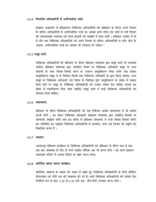# 4.5.4 विभागीय अधिकारियों से अनौपचारिक चर्चा:

प्रशासन अकादमी में प्रशिक्षणरत चिकित्सा अधिकारियों को प्रशिक्षण के दौरान अपने विभाग के वरिष्ठ अधिकारियों से अनौपचारिक चर्चा का अवसर प्राप्त होगा। इस चर्चा से उन्हें विभाग की संगठनात्मक व्यवस्था एवं कार्य प्रणाली को समझने में मदद होगी। प्रशिक्षण अवधि में दो से तीन बार चिकित्सा अधिकारियों को अपने विभाग के वरिष्ठ अधिकारियों से रात्रि भोज के अवसर. अनौपचारिक चर्चा का अवसर भी उपलब्ध हो सकेगा।

### 4.5.5 समूह कार्य:

चिकित्सा अधिकारियों को प्रशिक्षण के दौरान प्रशिक्षण संचालक द्वारा समूह कार्य भी करवाया जायेगा। प्रशिक्षण संचालक द्वारा आवंटित विषय पर चिकित्सा अधिकारी समूह के अन्य सदस्यों के साथ विचार-विमर्श करने के उपरान्त प्रस्तुतीकरण तैयार करेंगे तथा इसका प्रस्ततीकरण समह मे से चिन्हित किसी एक चिकित्सा अधिकारी के द्वारा किया जाएगा. अन्य समूह के चिकित्सा अधिकारी एवं विषय के विशेषज्ञ द्वारा प्रस्तुतिकरण के संबंध में सवाल किये जाने पर समूह के चिकित्सा अधिकारियों को उनका जवाब देना चाहिए अथवा इस संबंध में स्पष्टीकरण दिया जाना चाहिऐ। समूह कार्य में सभी चिकित्सा अधिकारियों का योगदान होना चाहिए।

### 4.5.6 वाचनालय:

प्रशिक्षण के दौरान चिकित्सा अधिकारियों को एक निश्चित अवधि वाचनालय में भी व्यतीत करनी होगी । इस दौरान चिकित्सा अधिकारी प्रशिक्षण संचालक द्वारा आवंटित विषयों पर जानकारी संग्रहित करेंगे तथा इस संबंध में प्रशिक्षण संचालक से सभी विचार-विमर्श करेंगे। इस गतिविधि का उदुदेश्य चिकित्सा अधिकारियों में अध्ययन, मनन एवं चिन्तन की प्रवृत्ति को विकसित करना है।

### 4.5.7 श्रमदान:

आधारभुत प्रशिक्षण कार्यक्रम के चिकित्सा अधिकारियों को प्रशिक्षण के दौरान कम से कम एक बार अवकाश के दिन दो घण्टे सार्थक भौतिक श्रम भी करना होगा। यह कार्य प्रशासन अकादमी परिसर में अथवा परिसर के बाहर करना होगा।

## 4.5.8 शारीरिक क्षमता उन्नयन कार्यक्रम:

शारीरिक स्वास्थ्य के महत्व को ध्यान में रखते हुए चिकित्सा अधिकारियों के लिये प्रतिदिन योगाभ्यास एवं पीटी सत्र की व्यवस्था की गई है। सभी चिकित्सा अधिकारियों को प्रत्येक दिन नियमित रूप से प्रातः 5.30 से 6.30 बजे तक योग/पीटी अभ्यास करना होगा।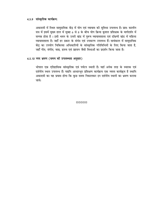# 4.5.9 सांस्कृतिक कार्यक्रम:

अकादमी में स्थित सामुदायिक केंद्र में योग एवं व्यायाम की सुविधा उपलब्ध है। प्रातः कालीन सत्र में इसमें मुख्य हाल में सुबह 6 से 8 के बीच योग क्रिया कुशल प्रशिक्षक के मार्गदर्शन में सम्पन्न होता है। इसी भवन के उत्तरी खंड में पुरूष व्यायामशाला एवं दक्षिणी खंड में महिला व्यायामशाला है। जहाँ हर प्रकार के संयंत्र एवं उपकरण उपलब्ध हैं। सायंकाल में सामदायिक केंद्र का उपयोग चिकित्सा अधिकारियों के सांस्कृतिक गतिविधियों के लिए किया जाता है, जहाँ गीत, संगीत, वाद्य, हास्य एवं प्रहसन जैसी विधाओं का प्रदर्शन किया जाता है।

# 4.5.10 नगर भ्रमण (समय की उपलब्धता अनुसार)

भोपाल एक एतिहासिक सांस्कृतिक एवं पर्यटन स्थली है। यहाँ अनेक तरह के स्मारक एवं दर्शनीय स्थल उपलब्ध हैं। यद्यपि आधारभूत प्रशिक्षण कार्यक्रम एक व्यस्त कार्यक्रम है तथापि अकादमी का यह प्रयास होगा कि कुछ समय निकालकर इन दर्शनीय स्थानों का भ्रमण कराया जाये।

aaaaa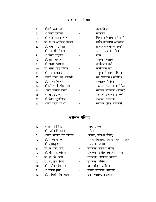# अकादमी परिवार

| 1.  | श्रीमती कंचन जैन          | महानिदेशक                |
|-----|---------------------------|--------------------------|
| 2.  | श्री मनीष रस्तोगी         | संचालक                   |
| 3.  | श्री शरद शशांक गौड़       | विषेष कर्तव्यस्थ अधिकारी |
| 4.  | डॉ. अभय अरविन्द बेडेकर    | विषेष कर्तव्यस्थ अधिकारी |
| 5.  | डॉ. एच. एम. मिश्र         | प्राध्यापक (समाजशास्त्र) |
| 6.  | श्री एन. सी. तेकाम        | अपर संचालक (वित्त)       |
| 7.  | श्री प्रमोद चतुर्वेदी     | रीडर                     |
| 8.  | डॉ. प्रज्ञा अवस्थी        | संयुक्त संचालक           |
| 9.  | श्री अजय खोसला            | कार्यपालन यंत्री         |
| 10. | डॉ. सुमन सिंह चौहान       | कार्यपालन यंत्री         |
| 11. | श्री राजेन्द्र बजाज       | संयुक्त संचालक (वित्त)   |
| 12. | श्रीमती सपना एम. लोवंशी   | उप संचालक (प्रशासन)      |
| 13. | डॉ. अवध किशोर मिश्र       | संचालक (सीमेट)           |
| 14. | श्रीमती भारती श्रीवास्तव  | सहायक संचालक (सीमेट)     |
| 15. | श्रीमती उर्मिला पाठक      | सहायक संचालक (सीमेट)     |
| 16. | श्री आर.डी. चौरे          | सहायक संचालक (वित्त)     |
| 17. | श्री देवेन्द्र सुन्दरियाल | सहायक संचालक             |
| 18. | श्रीमती वंदना दीक्षित     | सहायक लेखा अधिकारी       |
|     |                           |                          |

# स्वास्थ्य परिवार

| 1.  | श्रीमती गौरी सिंह        | प्रमुख सचिव                           |
|-----|--------------------------|---------------------------------------|
| 2.  | श्री कवींद्र कियावत      | सचिव                                  |
| 3.  | श्रीमती पल्लवी जैन गोविल | आयुक्त, स्वास्थ्य सेवाऐं              |
| 4.  | डॉ. संजय गोयल            | मिशन संचालक, राष्ट्रीय स्वास्थ्य मिशन |
| 5.  | श्री धनराजु एस.          | संचालक, प्रशासन                       |
| 6.  | डॉ. के. एल. साह्         | संचालक, स्वास्थ्य सेवाऐं              |
| 7.  | डॉ. बी. एन. चौहान        | संचालक, राष्ट्रीय स्वास्थ्य मिशन      |
| 8.  | डॉ. के. के. ठस्सू        | संचालक, अस्पताल प्रशासन               |
| 9.  | डॉ. जे. एल. मिश्रा       | संचालक, नर्सिंग                       |
| 10. | श्री राजीव श्रीवास्तव    | अपर संचालक, वित्त                     |
| 11. | श्री राकेश मुंशी         | संयुक्त संचालक, प्रशिक्षण             |
| 12. | डॉ. श्रीमती सीमा भटनागर  | उप संचालक, प्रशिक्षण                  |